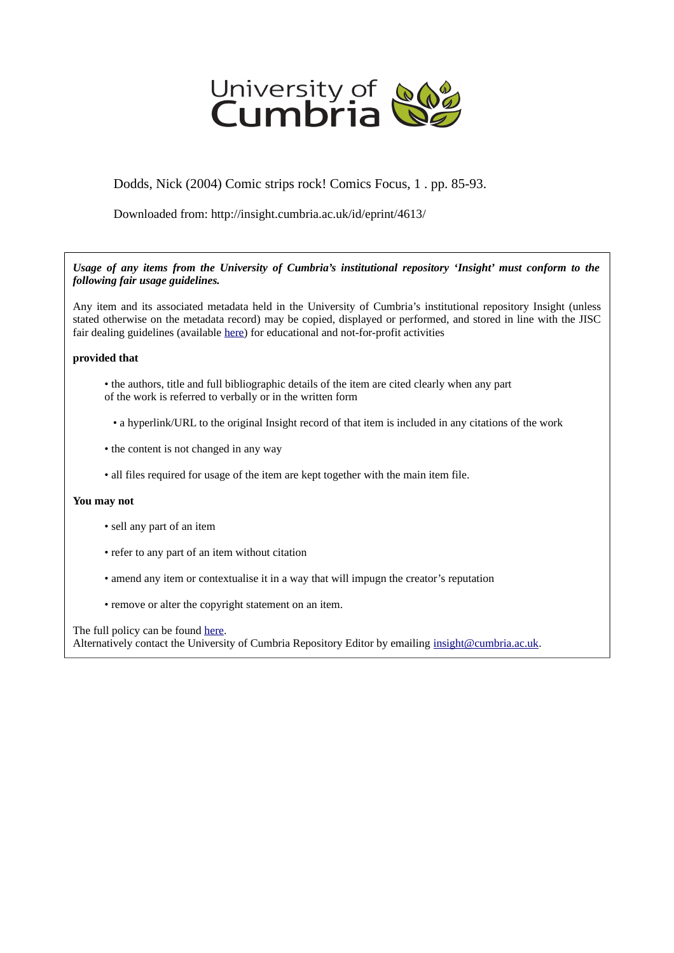

# Dodds, Nick (2004) Comic strips rock! Comics Focus, 1 . pp. 85-93.

Downloaded from: http://insight.cumbria.ac.uk/id/eprint/4613/

## *Usage of any items from the University of Cumbria's institutional repository 'Insight' must conform to the following fair usage guidelines.*

Any item and its associated metadata held in the University of Cumbria's institutional repository Insight (unless stated otherwise on the metadata record) may be copied, displayed or performed, and stored in line with the JISC fair dealing guidelines (available [here\)](http://www.ukoln.ac.uk/services/elib/papers/pa/fair/) for educational and not-for-profit activities

## **provided that**

- the authors, title and full bibliographic details of the item are cited clearly when any part of the work is referred to verbally or in the written form
	- a hyperlink/URL to the original Insight record of that item is included in any citations of the work
- the content is not changed in any way
- all files required for usage of the item are kept together with the main item file.

#### **You may not**

- sell any part of an item
- refer to any part of an item without citation
- amend any item or contextualise it in a way that will impugn the creator's reputation
- remove or alter the copyright statement on an item.

The full policy can be found [here.](http://insight.cumbria.ac.uk/legal.html#section5)

Alternatively contact the University of Cumbria Repository Editor by emailing [insight@cumbria.ac.uk.](mailto:insight@cumbria.ac.uk)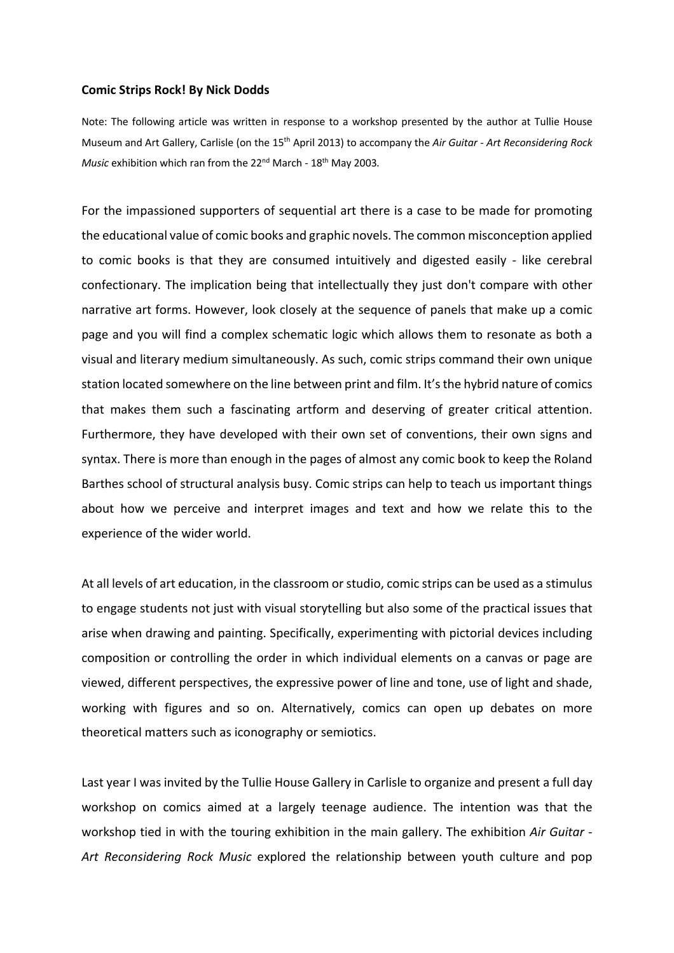### **Comic Strips Rock! By Nick Dodds**

Note: The following article was written in response to a workshop presented by the author at Tullie House Museum and Art Gallery, Carlisle (on the 15th April 2013) to accompany the *Air Guitar - Art Reconsidering Rock Music* exhibition which ran from the 22<sup>nd</sup> March - 18<sup>th</sup> May 2003.

For the impassioned supporters of sequential art there is a case to be made for promoting the educational value of comic books and graphic novels. The common misconception applied to comic books is that they are consumed intuitively and digested easily - like cerebral confectionary. The implication being that intellectually they just don't compare with other narrative art forms. However, look closely at the sequence of panels that make up a comic page and you will find a complex schematic logic which allows them to resonate as both a visual and literary medium simultaneously. As such, comic strips command their own unique station located somewhere on the line between print and film. It's the hybrid nature of comics that makes them such a fascinating artform and deserving of greater critical attention. Furthermore, they have developed with their own set of conventions, their own signs and syntax. There is more than enough in the pages of almost any comic book to keep the Roland Barthes school of structural analysis busy. Comic strips can help to teach us important things about how we perceive and interpret images and text and how we relate this to the experience of the wider world.

At all levels of art education, in the classroom or studio, comic strips can be used as a stimulus to engage students not just with visual storytelling but also some of the practical issues that arise when drawing and painting. Specifically, experimenting with pictorial devices including composition or controlling the order in which individual elements on a canvas or page are viewed, different perspectives, the expressive power of line and tone, use of light and shade, working with figures and so on. Alternatively, comics can open up debates on more theoretical matters such as iconography or semiotics.

Last year I was invited by the Tullie House Gallery in Carlisle to organize and present a full day workshop on comics aimed at a largely teenage audience. The intention was that the workshop tied in with the touring exhibition in the main gallery. The exhibition *Air Guitar - Art Reconsidering Rock Music* explored the relationship between youth culture and pop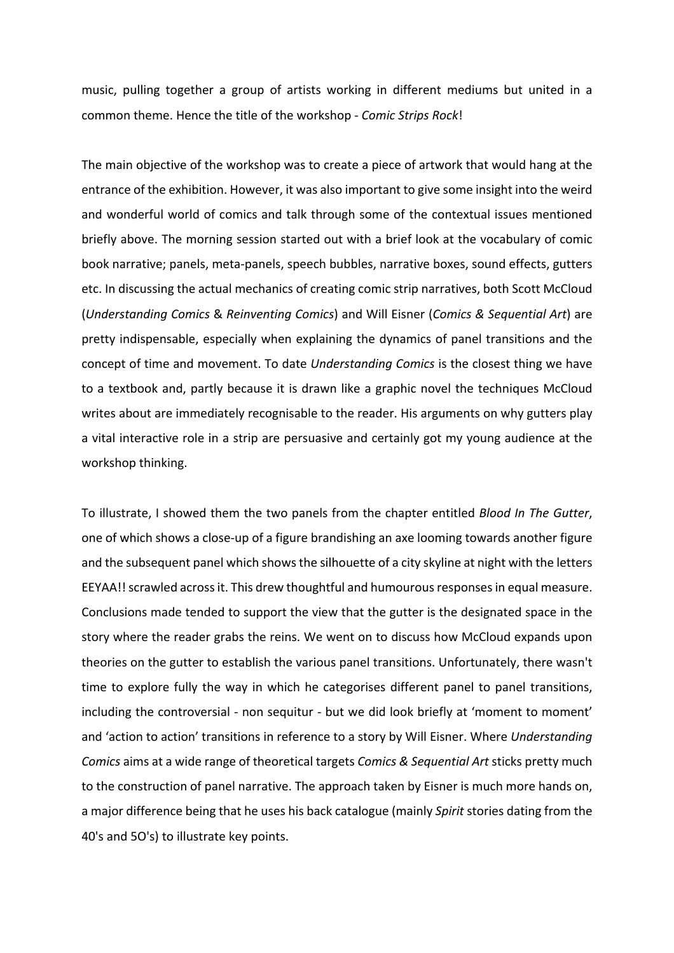music, pulling together a group of artists working in different mediums but united in a common theme. Hence the title of the workshop - *Comic Strips Rock*!

The main objective of the workshop was to create a piece of artwork that would hang at the entrance of the exhibition. However, it was also important to give some insight into the weird and wonderful world of comics and talk through some of the contextual issues mentioned briefly above. The morning session started out with a brief look at the vocabulary of comic book narrative; panels, meta-panels, speech bubbles, narrative boxes, sound effects, gutters etc. In discussing the actual mechanics of creating comic strip narratives, both Scott McCloud (*Understanding Comics* & *Reinventing Comics*) and Will Eisner (*Comics & Sequential Art*) are pretty indispensable, especially when explaining the dynamics of panel transitions and the concept of time and movement. To date *Understanding Comics* is the closest thing we have to a textbook and, partly because it is drawn like a graphic novel the techniques McCloud writes about are immediately recognisable to the reader. His arguments on why gutters play a vital interactive role in a strip are persuasive and certainly got my young audience at the workshop thinking.

To illustrate, I showed them the two panels from the chapter entitled *Blood In The Gutter*, one of which shows a close-up of a figure brandishing an axe looming towards another figure and the subsequent panel which shows the silhouette of a city skyline at night with the letters EEYAA!! scrawled across it. This drew thoughtful and humourousresponses in equal measure. Conclusions made tended to support the view that the gutter is the designated space in the story where the reader grabs the reins. We went on to discuss how McCloud expands upon theories on the gutter to establish the various panel transitions. Unfortunately, there wasn't time to explore fully the way in which he categorises different panel to panel transitions, including the controversial - non sequitur - but we did look briefly at 'moment to moment' and 'action to action' transitions in reference to a story by Will Eisner. Where *Understanding Comics* aims at a wide range of theoretical targets *Comics & Sequential Art* sticks pretty much to the construction of panel narrative. The approach taken by Eisner is much more hands on, a major difference being that he uses his back catalogue (mainly *Spirit* stories dating from the 40's and 5O's) to illustrate key points.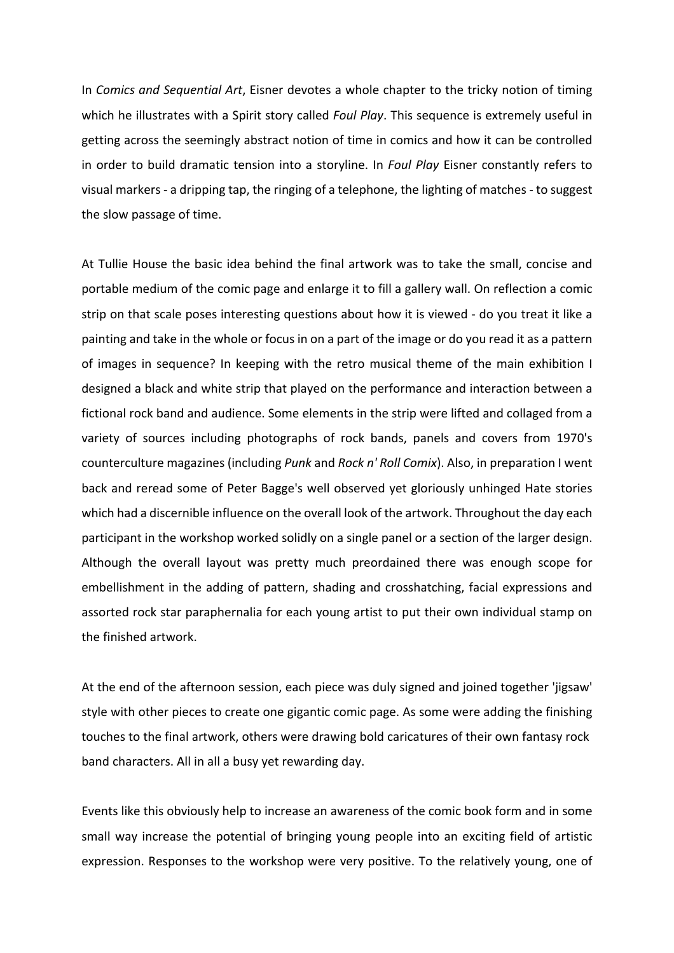In *Comics and Sequential Art*, Eisner devotes a whole chapter to the tricky notion of timing which he illustrates with a Spirit story called *Foul Play*. This sequence is extremely useful in getting across the seemingly abstract notion of time in comics and how it can be controlled in order to build dramatic tension into a storyline. In *Foul Play* Eisner constantly refers to visual markers - a dripping tap, the ringing of a telephone, the lighting of matches - to suggest the slow passage of time.

At Tullie House the basic idea behind the final artwork was to take the small, concise and portable medium of the comic page and enlarge it to fill a gallery wall. On reflection a comic strip on that scale poses interesting questions about how it is viewed - do you treat it like a painting and take in the whole or focus in on a part of the image or do you read it as a pattern of images in sequence? In keeping with the retro musical theme of the main exhibition I designed a black and white strip that played on the performance and interaction between a fictional rock band and audience. Some elements in the strip were lifted and collaged from a variety of sources including photographs of rock bands, panels and covers from 1970's counterculture magazines (including *Punk* and *Rock n' Roll Comix*). Also, in preparation I went back and reread some of Peter Bagge's well observed yet gloriously unhinged Hate stories which had a discernible influence on the overall look of the artwork. Throughout the day each participant in the workshop worked solidly on a single panel or a section of the larger design. Although the overall layout was pretty much preordained there was enough scope for embellishment in the adding of pattern, shading and crosshatching, facial expressions and assorted rock star paraphernalia for each young artist to put their own individual stamp on the finished artwork.

At the end of the afternoon session, each piece was duly signed and joined together 'jigsaw' style with other pieces to create one gigantic comic page. As some were adding the finishing touches to the final artwork, others were drawing bold caricatures of their own fantasy rock band characters. All in all a busy yet rewarding day.

Events like this obviously help to increase an awareness of the comic book form and in some small way increase the potential of bringing young people into an exciting field of artistic expression. Responses to the workshop were very positive. To the relatively young, one of